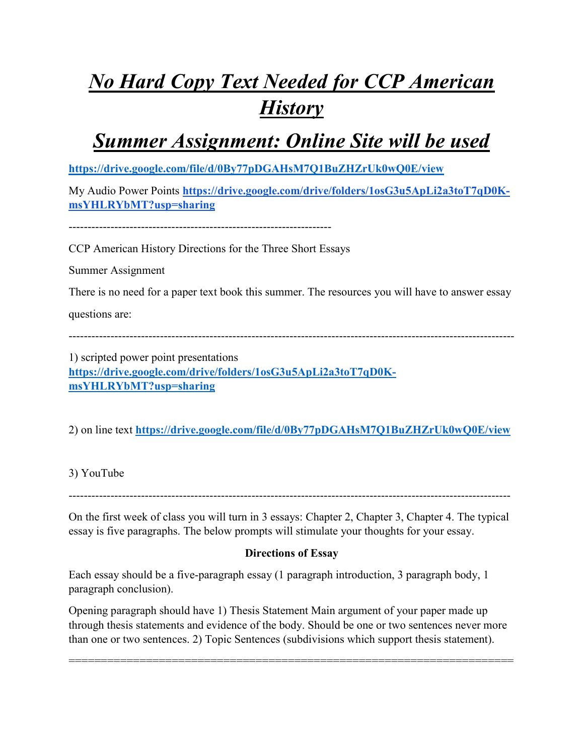# *No Hard Copy Text Needed for CCP American History*

*Summer Assignment: Online Site will be used*

**<https://drive.google.com/file/d/0By77pDGAHsM7Q1BuZHZrUk0wQ0E/view>**

My Audio Power Points **[https://drive.google.com/drive/folders/1osG3u5ApLi2a3toT7qD0K](https://drive.google.com/drive/folders/1osG3u5ApLi2a3toT7qD0K-msYHLRYbMT?usp=sharing)[msYHLRYbMT?usp=sharing](https://drive.google.com/drive/folders/1osG3u5ApLi2a3toT7qD0K-msYHLRYbMT?usp=sharing)**

---------------------------------------------------------------------

CCP American History Directions for the Three Short Essays

Summer Assignment

There is no need for a paper text book this summer. The resources you will have to answer essay

questions are:

---------------------------------------------------------------------------------------------------------------------

1) scripted power point presentations **[https://drive.google.com/drive/folders/1osG3u5ApLi2a3toT7qD0K](https://drive.google.com/drive/folders/1osG3u5ApLi2a3toT7qD0K-msYHLRYbMT?usp=sharing)[msYHLRYbMT?usp=sharing](https://drive.google.com/drive/folders/1osG3u5ApLi2a3toT7qD0K-msYHLRYbMT?usp=sharing)**

2) on line text **<https://drive.google.com/file/d/0By77pDGAHsM7Q1BuZHZrUk0wQ0E/view>**

3) YouTube

--------------------------------------------------------------------------------------------------------------------

On the first week of class you will turn in 3 essays: Chapter 2, Chapter 3, Chapter 4. The typical essay is five paragraphs. The below prompts will stimulate your thoughts for your essay.

## **Directions of Essay**

Each essay should be a five-paragraph essay (1 paragraph introduction, 3 paragraph body, 1 paragraph conclusion).

Opening paragraph should have 1) Thesis Statement Main argument of your paper made up through thesis statements and evidence of the body. Should be one or two sentences never more than one or two sentences. 2) Topic Sentences (subdivisions which support thesis statement).

=====================================================================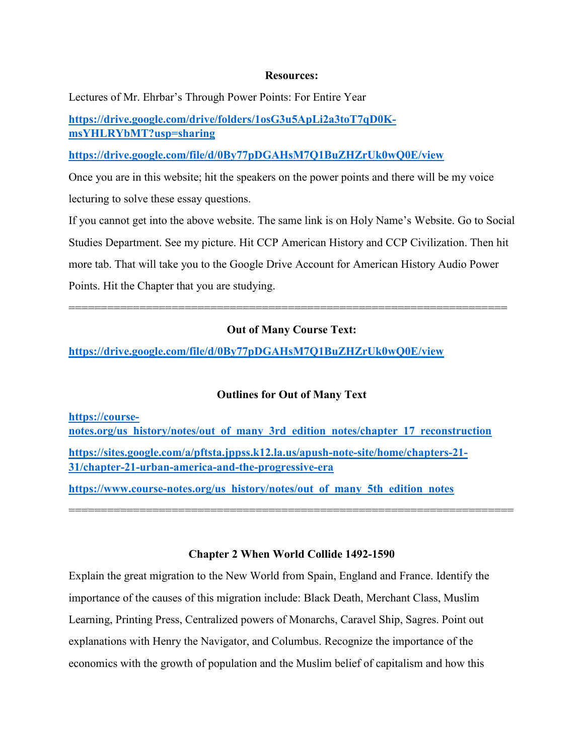#### **Resources:**

Lectures of Mr. Ehrbar's Through Power Points: For Entire Year

**[https://drive.google.com/drive/folders/1osG3u5ApLi2a3toT7qD0K](https://drive.google.com/drive/folders/1osG3u5ApLi2a3toT7qD0K-msYHLRYbMT?usp=sharing)[msYHLRYbMT?usp=sharing](https://drive.google.com/drive/folders/1osG3u5ApLi2a3toT7qD0K-msYHLRYbMT?usp=sharing)**

**<https://drive.google.com/file/d/0By77pDGAHsM7Q1BuZHZrUk0wQ0E/view>**

Once you are in this website; hit the speakers on the power points and there will be my voice lecturing to solve these essay questions.

If you cannot get into the above website. The same link is on Holy Name's Website. Go to Social Studies Department. See my picture. Hit CCP American History and CCP Civilization. Then hit more tab. That will take you to the Google Drive Account for American History Audio Power Points. Hit the Chapter that you are studying.

#### **Out of Many Course Text:**

====================================================================

**<https://drive.google.com/file/d/0By77pDGAHsM7Q1BuZHZrUk0wQ0E/view>**

#### **Outlines for Out of Many Text**

**[https://course](https://course-notes.org/us_history/notes/out_of_many_3rd_edition_notes/chapter_17_reconstruction)[notes.org/us\\_history/notes/out\\_of\\_many\\_3rd\\_edition\\_notes/chapter\\_17\\_reconstruction](https://course-notes.org/us_history/notes/out_of_many_3rd_edition_notes/chapter_17_reconstruction) [https://sites.google.com/a/pftsta.jppss.k12.la.us/apush-note-site/home/chapters-21-](https://sites.google.com/a/pftsta.jppss.k12.la.us/apush-note-site/home/chapters-21-31/chapter-21-urban-america-and-the-progressive-era) [31/chapter-21-urban-america-and-the-progressive-era](https://sites.google.com/a/pftsta.jppss.k12.la.us/apush-note-site/home/chapters-21-31/chapter-21-urban-america-and-the-progressive-era) [https://www.course-notes.org/us\\_history/notes/out\\_of\\_many\\_5th\\_edition\\_notes](https://www.course-notes.org/us_history/notes/out_of_many_5th_edition_notes)**

**Chapter 2 When World Collide 1492-1590**

=====================================================================

Explain the great migration to the New World from Spain, England and France. Identify the importance of the causes of this migration include: Black Death, Merchant Class, Muslim Learning, Printing Press, Centralized powers of Monarchs, Caravel Ship, Sagres. Point out explanations with Henry the Navigator, and Columbus. Recognize the importance of the economics with the growth of population and the Muslim belief of capitalism and how this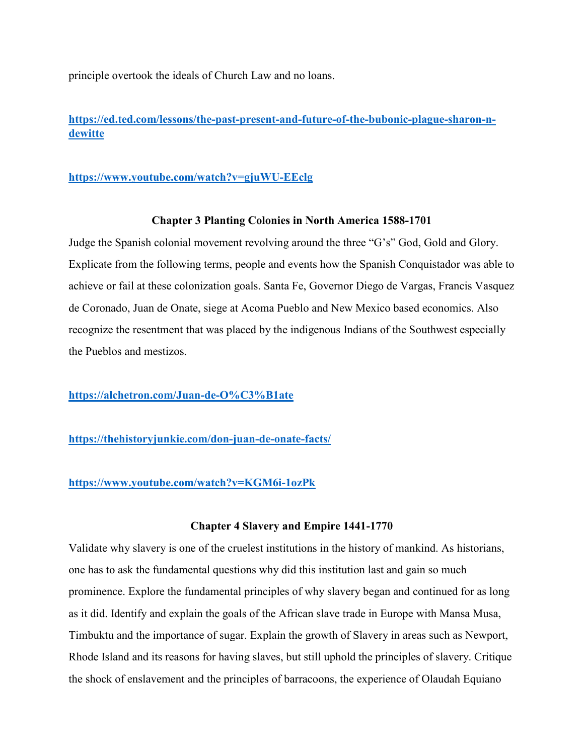principle overtook the ideals of Church Law and no loans.

**[https://ed.ted.com/lessons/the-past-present-and-future-of-the-bubonic-plague-sharon-n](https://ed.ted.com/lessons/the-past-present-and-future-of-the-bubonic-plague-sharon-n-dewitte)[dewitte](https://ed.ted.com/lessons/the-past-present-and-future-of-the-bubonic-plague-sharon-n-dewitte)**

### **<https://www.youtube.com/watch?v=gjuWU-EEclg>**

#### **Chapter 3 Planting Colonies in North America 1588-1701**

Judge the Spanish colonial movement revolving around the three "G's" God, Gold and Glory. Explicate from the following terms, people and events how the Spanish Conquistador was able to achieve or fail at these colonization goals. Santa Fe, Governor Diego de Vargas, Francis Vasquez de Coronado, Juan de Onate, siege at Acoma Pueblo and New Mexico based economics. Also recognize the resentment that was placed by the indigenous Indians of the Southwest especially the Pueblos and mestizos.

**<https://alchetron.com/Juan-de-O%C3%B1ate>**

**<https://thehistoryjunkie.com/don-juan-de-onate-facts/>**

#### **<https://www.youtube.com/watch?v=KGM6i-1ozPk>**

#### **Chapter 4 Slavery and Empire 1441-1770**

Validate why slavery is one of the cruelest institutions in the history of mankind. As historians, one has to ask the fundamental questions why did this institution last and gain so much prominence. Explore the fundamental principles of why slavery began and continued for as long as it did. Identify and explain the goals of the African slave trade in Europe with Mansa Musa, Timbuktu and the importance of sugar. Explain the growth of Slavery in areas such as Newport, Rhode Island and its reasons for having slaves, but still uphold the principles of slavery. Critique the shock of enslavement and the principles of barracoons, the experience of Olaudah Equiano